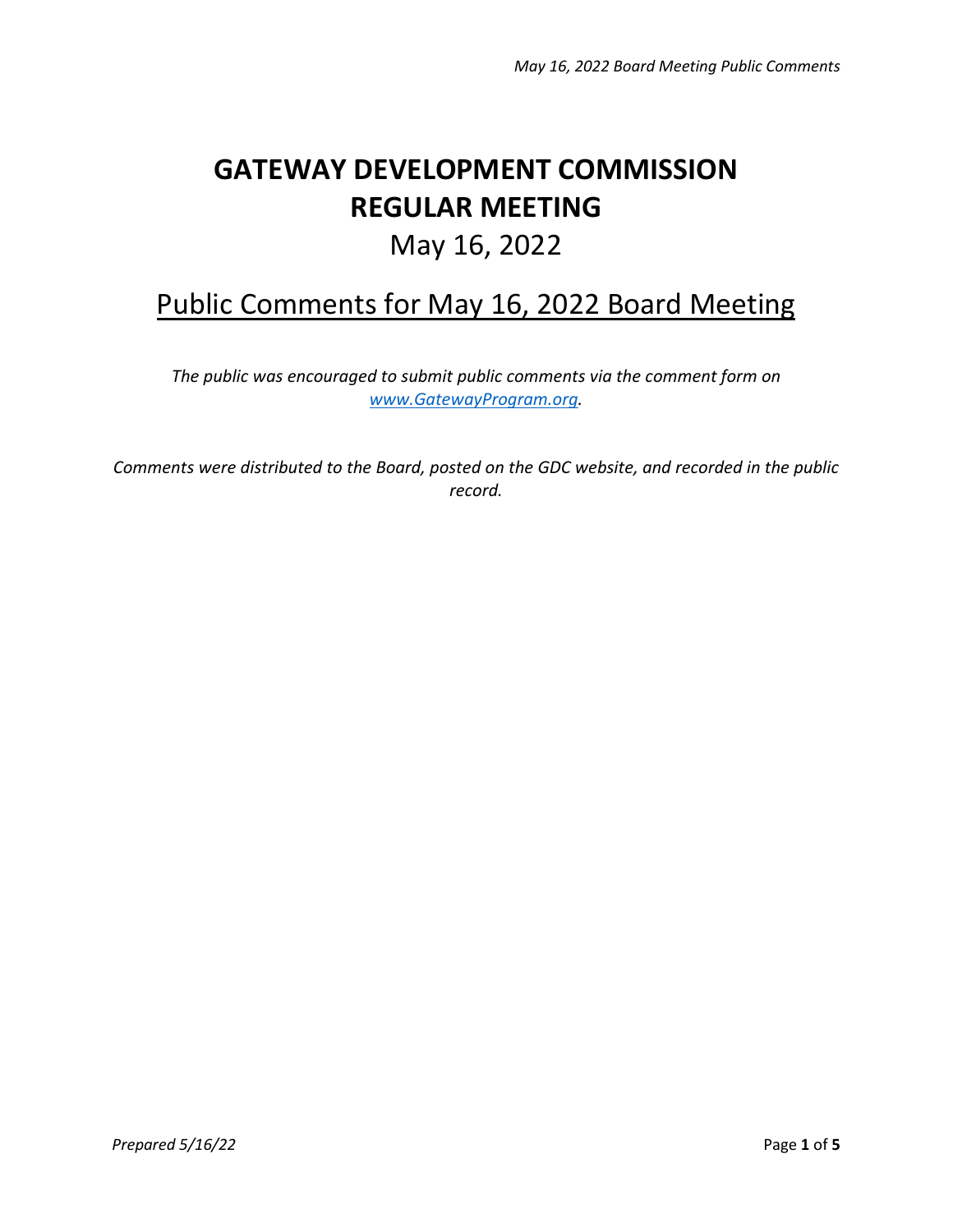## **GATEWAY DEVELOPMENT COMMISSION REGULAR MEETING**

## May 16, 2022

## Public Comments for May 16, 2022 Board Meeting

*The public was encouraged to submit public comments via the comment form on [www.GatewayProgram.org.](http://www.gatewayprogram.org/)*

*Comments were distributed to the Board, posted on the GDC website, and recorded in the public record.*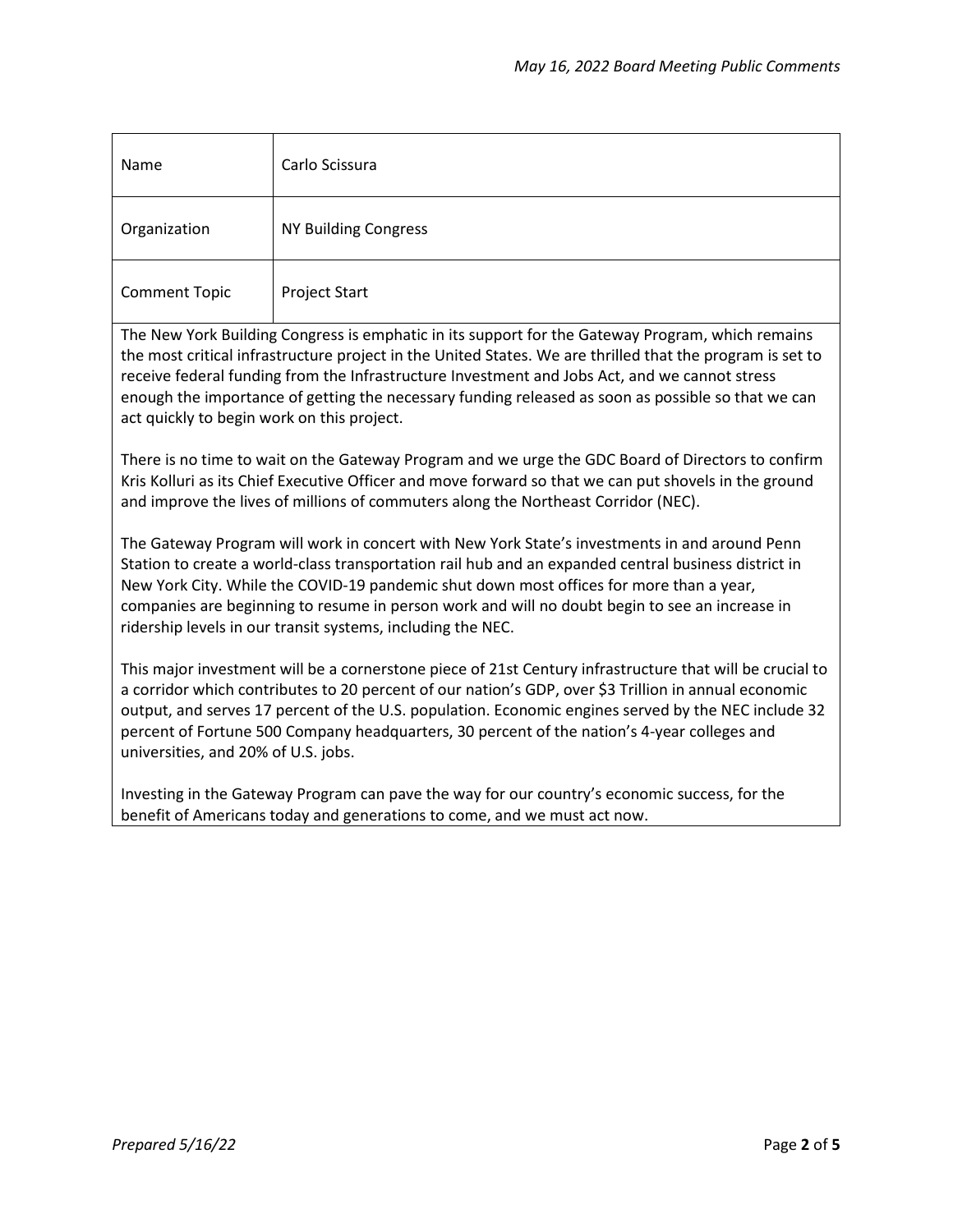| Name                 | Carlo Scissura       |
|----------------------|----------------------|
| Organization         | NY Building Congress |
| <b>Comment Topic</b> | Project Start        |

The New York Building Congress is emphatic in its support for the Gateway Program, which remains the most critical infrastructure project in the United States. We are thrilled that the program is set to receive federal funding from the Infrastructure Investment and Jobs Act, and we cannot stress enough the importance of getting the necessary funding released as soon as possible so that we can act quickly to begin work on this project.

There is no time to wait on the Gateway Program and we urge the GDC Board of Directors to confirm Kris Kolluri as its Chief Executive Officer and move forward so that we can put shovels in the ground and improve the lives of millions of commuters along the Northeast Corridor (NEC).

The Gateway Program will work in concert with New York State's investments in and around Penn Station to create a world-class transportation rail hub and an expanded central business district in New York City. While the COVID-19 pandemic shut down most offices for more than a year, companies are beginning to resume in person work and will no doubt begin to see an increase in ridership levels in our transit systems, including the NEC.

This major investment will be a cornerstone piece of 21st Century infrastructure that will be crucial to a corridor which contributes to 20 percent of our nation's GDP, over \$3 Trillion in annual economic output, and serves 17 percent of the U.S. population. Economic engines served by the NEC include 32 percent of Fortune 500 Company headquarters, 30 percent of the nation's 4-year colleges and universities, and 20% of U.S. jobs.

Investing in the Gateway Program can pave the way for our country's economic success, for the benefit of Americans today and generations to come, and we must act now.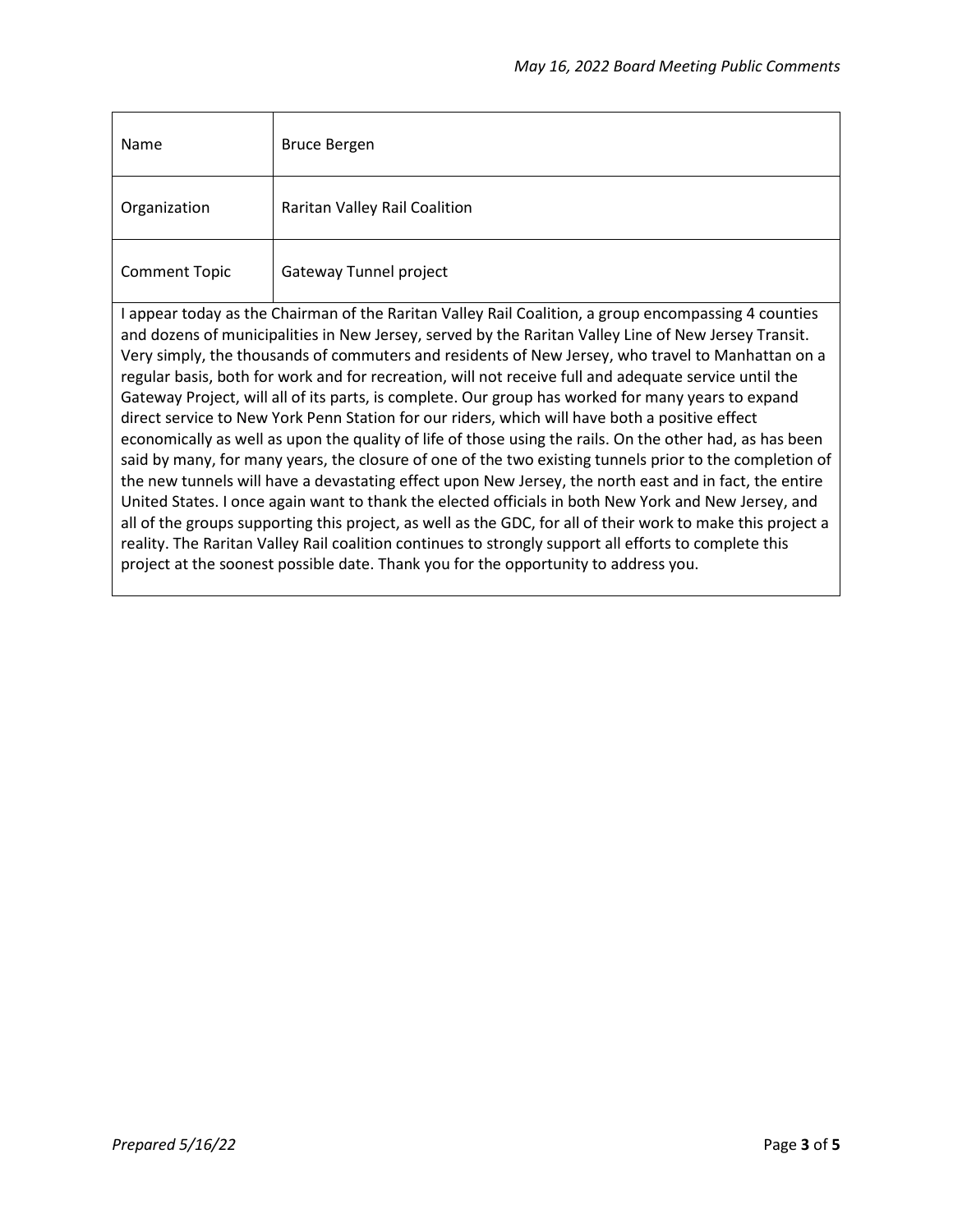| Name                                                                                                                                                                                                                                                                                                                                                                                                                                                                                                                                                                                                                                                                                                                                                                                                                                                                                                                                                                                                                                                                                                                                                                                                                                                                                                                                                                                       | <b>Bruce Bergen</b>           |  |
|--------------------------------------------------------------------------------------------------------------------------------------------------------------------------------------------------------------------------------------------------------------------------------------------------------------------------------------------------------------------------------------------------------------------------------------------------------------------------------------------------------------------------------------------------------------------------------------------------------------------------------------------------------------------------------------------------------------------------------------------------------------------------------------------------------------------------------------------------------------------------------------------------------------------------------------------------------------------------------------------------------------------------------------------------------------------------------------------------------------------------------------------------------------------------------------------------------------------------------------------------------------------------------------------------------------------------------------------------------------------------------------------|-------------------------------|--|
| Organization                                                                                                                                                                                                                                                                                                                                                                                                                                                                                                                                                                                                                                                                                                                                                                                                                                                                                                                                                                                                                                                                                                                                                                                                                                                                                                                                                                               | Raritan Valley Rail Coalition |  |
| <b>Comment Topic</b>                                                                                                                                                                                                                                                                                                                                                                                                                                                                                                                                                                                                                                                                                                                                                                                                                                                                                                                                                                                                                                                                                                                                                                                                                                                                                                                                                                       | Gateway Tunnel project        |  |
| I appear today as the Chairman of the Raritan Valley Rail Coalition, a group encompassing 4 counties<br>and dozens of municipalities in New Jersey, served by the Raritan Valley Line of New Jersey Transit.<br>Very simply, the thousands of commuters and residents of New Jersey, who travel to Manhattan on a<br>regular basis, both for work and for recreation, will not receive full and adequate service until the<br>Gateway Project, will all of its parts, is complete. Our group has worked for many years to expand<br>direct service to New York Penn Station for our riders, which will have both a positive effect<br>economically as well as upon the quality of life of those using the rails. On the other had, as has been<br>said by many, for many years, the closure of one of the two existing tunnels prior to the completion of<br>the new tunnels will have a devastating effect upon New Jersey, the north east and in fact, the entire<br>United States. I once again want to thank the elected officials in both New York and New Jersey, and<br>all of the groups supporting this project, as well as the GDC, for all of their work to make this project a<br>reality. The Raritan Valley Rail coalition continues to strongly support all efforts to complete this<br>project at the soonest possible date. Thank you for the opportunity to address you. |                               |  |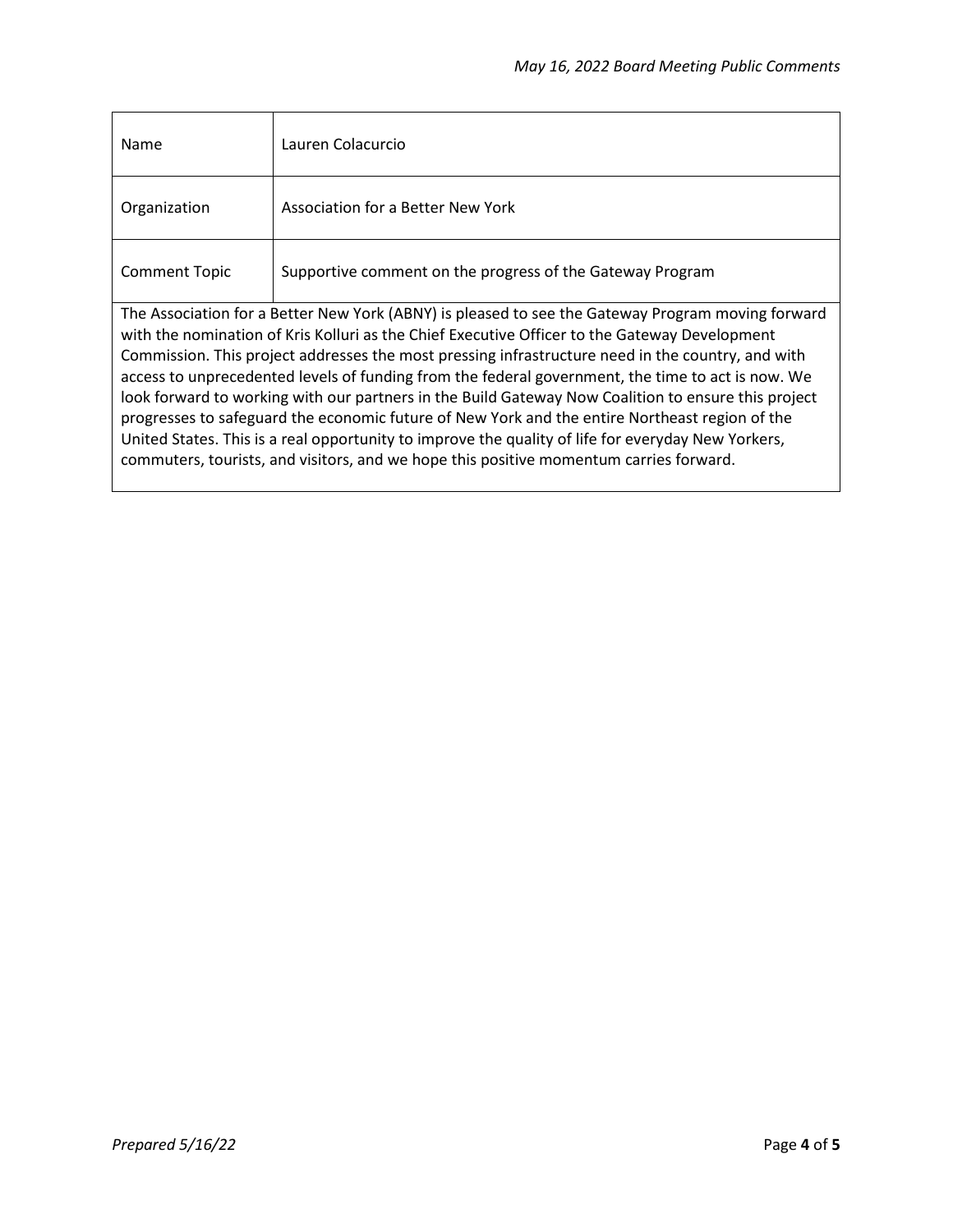| Name                                                                                                                                                                                                                                                                                                                                                                                                                                                                                                                                                                                                                                                                                                                                                                                                                  | Lauren Colacurcio                                         |
|-----------------------------------------------------------------------------------------------------------------------------------------------------------------------------------------------------------------------------------------------------------------------------------------------------------------------------------------------------------------------------------------------------------------------------------------------------------------------------------------------------------------------------------------------------------------------------------------------------------------------------------------------------------------------------------------------------------------------------------------------------------------------------------------------------------------------|-----------------------------------------------------------|
| Organization                                                                                                                                                                                                                                                                                                                                                                                                                                                                                                                                                                                                                                                                                                                                                                                                          | Association for a Better New York                         |
| <b>Comment Topic</b>                                                                                                                                                                                                                                                                                                                                                                                                                                                                                                                                                                                                                                                                                                                                                                                                  | Supportive comment on the progress of the Gateway Program |
| The Association for a Better New York (ABNY) is pleased to see the Gateway Program moving forward<br>with the nomination of Kris Kolluri as the Chief Executive Officer to the Gateway Development<br>Commission. This project addresses the most pressing infrastructure need in the country, and with<br>access to unprecedented levels of funding from the federal government, the time to act is now. We<br>look forward to working with our partners in the Build Gateway Now Coalition to ensure this project<br>progresses to safeguard the economic future of New York and the entire Northeast region of the<br>United States. This is a real opportunity to improve the quality of life for everyday New Yorkers,<br>commuters, tourists, and visitors, and we hope this positive momentum carries forward. |                                                           |